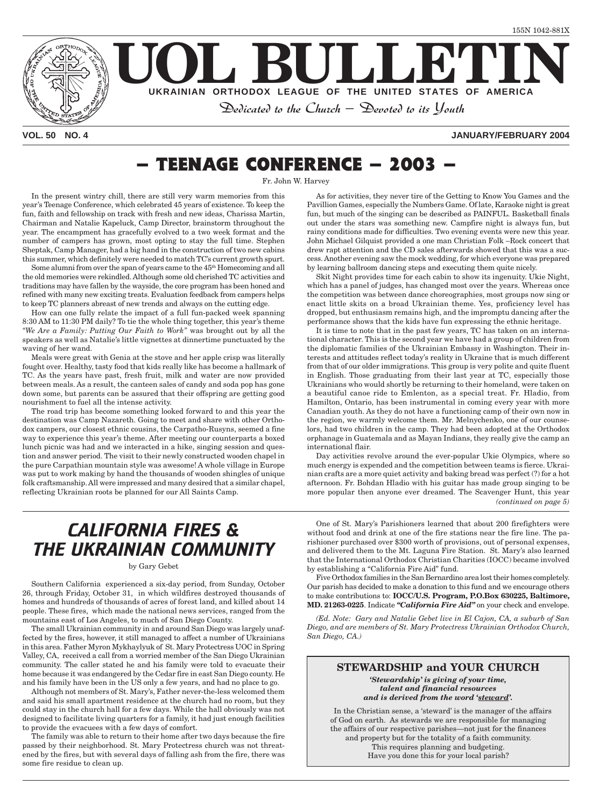

#### **VOL. 50 NO. 4 JANUARY/FEBRUARY 2004**

## **– TEENAGE CONFERENCE – 2003 –**

Fr. John W. Harvey

In the present wintry chill, there are still very warm memories from this year's Teenage Conference, which celebrated 45 years of existence. To keep the fun, faith and fellowship on track with fresh and new ideas, Charissa Martin, Chairman and Natalie Kapeluck, Camp Director, brainstorm throughout the year. The encampment has gracefully evolved to a two week format and the number of campers has grown, most opting to stay the full time. Stephen Sheptak, Camp Manager, had a big hand in the construction of two new cabins this summer, which definitely were needed to match TC's current growth spurt.

Some alumni from over the span of years came to the 45<sup>th</sup> Homecoming and all the old memories were rekindled. Although some old cherished TC activities and traditions may have fallen by the wayside, the core program has been honed and refined with many new exciting treats. Evaluation feedback from campers helps to keep TC planners abreast of new trends and always on the cutting edge.

How can one fully relate the impact of a full fun-packed week spanning 8:30 AM to 11:30 PM daily? To tie the whole thing together, this year's theme *"We Are a Family: Putting Our Faith to Work"* was brought out by all the speakers as well as Natalie's little vignettes at dinnertime punctuated by the waving of her wand.

Meals were great with Genia at the stove and her apple crisp was literally fought over. Healthy, tasty food that kids really like has become a hallmark of TC. As the years have past, fresh fruit, milk and water are now provided between meals. As a result, the canteen sales of candy and soda pop has gone down some, but parents can be assured that their offspring are getting good nourishment to fuel all the intense activity.

The road trip has become something looked forward to and this year the destination was Camp Nazareth. Going to meet and share with other Orthodox campers, our closest ethnic cousins, the Carpatho-Rusyns, seemed a fine way to experience this year's theme. After meeting our counterparts a boxed lunch picnic was had and we interacted in a hike, singing session and question and answer period. The visit to their newly constructed wooden chapel in the pure Carpathian mountain style was awesome! A whole village in Europe was put to work making by hand the thousands of wooden shingles of unique folk craftsmanship. All were impressed and many desired that a similar chapel, reflecting Ukrainian roots be planned for our All Saints Camp.

As for activities, they never tire of the Getting to Know You Games and the Pavillion Games, especially the Numbers Game. Of late, Karaoke night is great fun, but much of the singing can be described as PAINFUL. Basketball finals out under the stars was something new. Campfire night is always fun, but rainy conditions made for difficulties. Two evening events were new this year. John Michael Gilquist provided a one man Christian Folk –Rock concert that drew rapt attention and the CD sales afterwards showed that this was a success. Another evening saw the mock wedding, for which everyone was prepared by learning ballroom dancing steps and executing them quite nicely.

Skit Night provides time for each cabin to show its ingenuity. Ukie Night, which has a panel of judges, has changed most over the years. Whereas once the competition was between dance choreographies, most groups now sing or enact little skits on a broad Ukrainian theme. Yes, proficiency level has dropped, but enthusiasm remains high, and the impromptu dancing after the performance shows that the kids have fun expressing the ethnic heritage.

It is time to note that in the past few years, TC has taken on an international character. This is the second year we have had a group of children from the diplomatic families of the Ukrainian Embassy in Washington. Their interests and attitudes reflect today's reality in Ukraine that is much different from that of our older immigrations. This group is very polite and quite fluent in English. Those graduating from their last year at TC, especially those Ukrainians who would shortly be returning to their homeland, were taken on a beautiful canoe ride to Emlenton, as a special treat. Fr. Hladio, from Hamilton, Ontario, has been instrumental in coming every year with more Canadian youth. As they do not have a functioning camp of their own now in the region, we warmly welcome them. Mr. Melnychenko, one of our counselors, had two children in the camp. They had been adopted at the Orthodox orphanage in Guatemala and as Mayan Indians, they really give the camp an international flair.

*(continued on page 5)* Day activities revolve around the ever-popular Ukie Olympics, where so much energy is expended and the competition between teams is fierce. Ukrainian crafts are a more quiet activity and baking bread was perfect (?) for a hot afternoon. Fr. Bohdan Hladio with his guitar has made group singing to be more popular then anyone ever dreamed. The Scavenger Hunt, this year

## *CALIFORNIA FIRES & THE UKRAINIAN COMMUNITY*

#### by Gary Gebet

Southern California experienced a six-day period, from Sunday, October 26, through Friday, October 31, in which wildfires destroyed thousands of homes and hundreds of thousands of acres of forest land, and killed about 14 people. These fires, which made the national news services, ranged from the mountains east of Los Angeles, to much of San Diego County.

The small Ukrainian community in and around San Diego was largely unaffected by the fires, however, it still managed to affect a number of Ukrainians in this area. Father Myron Mykhaylyuk of St. Mary Protectress UOC in Spring Valley, CA, received a call from a worried member of the San Diego Ukrainian community. The caller stated he and his family were told to evacuate their home because it was endangered by the Cedar fire in east San Diego county. He and his family have been in the US only a few years, and had no place to go.

Although not members of St. Mary's, Father never-the-less welcomed them and said his small apartment residence at the church had no room, but they could stay in the church hall for a few days. While the hall obviously was not designed to facilitate living quarters for a family, it had just enough facilities to provide the evacuees with a few days of comfort.

The family was able to return to their home after two days because the fire passed by their neighborhood. St. Mary Protectress church was not threatened by the fires, but with several days of falling ash from the fire, there was some fire residue to clean up.

One of St. Mary's Parishioners learned that about 200 firefighters were without food and drink at one of the fire stations near the fire line. The parishioner purchased over \$300 worth of provisions, out of personal expenses, and delivered them to the Mt. Laguna Fire Station. St. Mary's also learned that the International Orthodox Christian Charities (IOCC) became involved by establishing a "California Fire Aid" fund.

Five Orthodox families in the San Bernardino area lost their homes completely. Our parish has decided to make a donation to this fund and we encourage others to make contributions to: **IOCC/U.S. Program, P.O.Box 630225, Baltimore, MD. 21263-0225**. Indicate *"California Fire Aid"* on your check and envelope.

*(Ed. Note: Gary and Natalie Gebet live in El Cajon, CA, a suburb of San Diego, and are members of St. Mary Protectress Ukrainian Orthodox Church, San Diego, CA.)*

#### **STEWARDSHIP and YOUR CHURCH**

*'Stewardship' is giving of your time, talent and financial resources and is derived from the word 'steward'.*

In the Christian sense, a 'steward' is the manager of the affairs of God on earth. As stewards we are responsible for managing the affairs of our respective parishes—not just for the finances and property but for the totality of a faith community. This requires planning and budgeting. Have you done this for your local parish?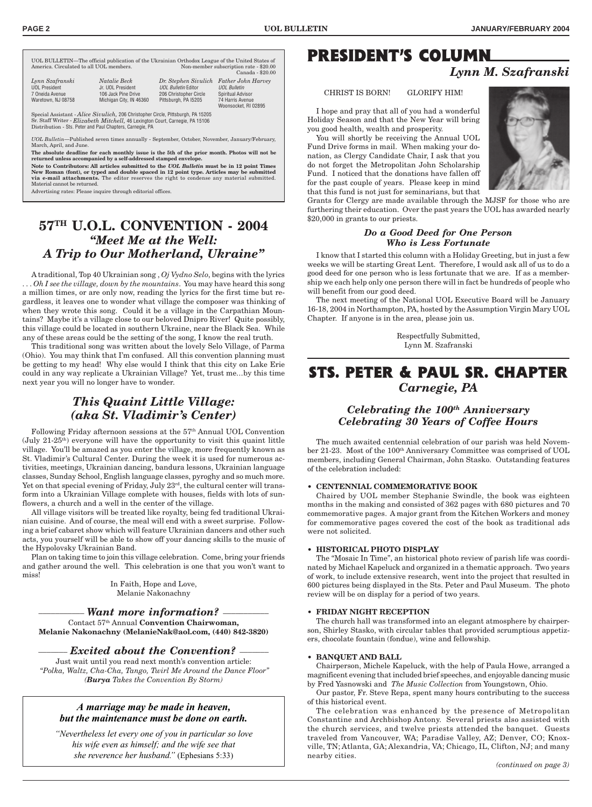UOL BULLETIN—The official publication of the Ukrainian Orthodox League of the United States of America. Circulated to all UOL members. Non-member subscription rate - \$20.00<br>Canada - \$20.00

|                                         |                                          |                                                                | <u>Canada</u> boo        |
|-----------------------------------------|------------------------------------------|----------------------------------------------------------------|--------------------------|
| Lynn Szafranski<br><b>UOL President</b> | <i>Natalie Beck</i><br>Jr. UOL President | Dr. Stephen Sivulich Father John Harvey<br>UOL Bulletin Editor | <b>UOL Bulletin</b>      |
| 7 Oneida Avenue                         | 106 Jack Pine Drive                      | 206 Christopher Circle                                         | <b>Spiritual Advisor</b> |
| Waretown, NJ 08758                      | Michigan City, IN 46360                  | Pittsburgh, PA I5205                                           | 74 Harris Avenue         |
|                                         |                                          |                                                                | Woonsocket, RI 02895     |

Special Assistant - *Alice Sivulich,* 206 Christopher Circle, Pittsburgh, PA 15205 Sr. Staff Writer - *Elizabeth Mitchell,* 46 Lexington Court, Carnegie, PA 15106 Distribution - Sts. Peter and Paul Chapters, Carnegie, PA

*UOL Bulletin*—Published seven times annually - September, October, November, January/February, March, April, and June.

**The absolute deadline for each monthly issue is the 5th of the prior month. Photos will not be returned unless accompanied by a self-addressed stamped envelope.**

**Note to Contributors: All articles submitted to the** *UOL Bulletin* **must be in 12 point Times New Roman (font), or typed and double spaced in 12 point type. Articles may be submitted via e-mail attachments.** The editor reserves the right to condense any material submitted. Material cannot be returned.

Advertising rates: Please inquire through editorial offices.

### **57TH U.O.L. CONVENTION - 2004** *"Meet Me at the Well: A Trip to Our Motherland, Ukraine"*

A traditional, Top 40 Ukrainian song , *Oj Vydno Selo*, begins with the lyrics . . . *Oh I see the village, down by the mountains*. You may have heard this song a million times, or are only now, reading the lyrics for the first time but regardless, it leaves one to wonder what village the composer was thinking of when they wrote this song. Could it be a village in the Carpathian Mountains? Maybe it's a village close to our beloved Dnipro River! Quite possibly, this village could be located in southern Ukraine, near the Black Sea. While any of these areas could be the setting of the song, I know the real truth.

This traditional song was written about the lovely Selo Village, of Parma (Ohio). You may think that I'm confused. All this convention planning must be getting to my head! Why else would I think that this city on Lake Erie could in any way replicate a Ukrainian Village? Yet, trust me...by this time next year you will no longer have to wonder.

### *This Quaint Little Village: (aka St. Vladimir's Center)*

Following Friday afternoon sessions at the 57th Annual UOL Convention  $(July 21-25<sup>th</sup>)$  everyone will have the opportunity to visit this quaint little village. You'll be amazed as you enter the village, more frequently known as St. Vladimir's Cultural Center. During the week it is used for numerous activities, meetings, Ukrainian dancing, bandura lessons, Ukrainian language classes, Sunday School, English language classes, pyroghy and so much more. Yet on that special evening of Friday, July 23<sup>rd</sup>, the cultural center will transform into a Ukrainian Village complete with houses, fields with lots of sunflowers, a church and a well in the center of the village.

All village visitors will be treated like royalty, being fed traditional Ukrainian cuisine. And of course, the meal will end with a sweet surprise. Following a brief cabaret show which will feature Ukrainian dancers and other such acts, you yourself will be able to show off your dancing skills to the music of the Hypolovsky Ukrainian Band.

Plan on taking time to join this village celebration. Come, bring your friends and gather around the well. This celebration is one that you won't want to miss!

> In Faith, Hope and Love, Melanie Nakonachny

#### ––––––––––– *Want more information?* –––––––––––

Contact 57th Annual **Convention Chairwoman, Melanie Nakonachny (MelanieNak@aol.com, (440) 842-3820)**

––––––– *Excited about the Convention?* –––––––

Just wait until you read next month's convention article: "*Polka, Waltz, Cha-Cha, Tango, Twirl Me Around the Dance Floor" (Burya Takes the Convention By Storm)*

#### *A marriage may be made in heaven, but the maintenance must be done on earth.*

*"Nevertheless let every one of you in particular so love his wife even as himself; and the wife see that she reverence her husband."* (Ephesians 5:33)

## **PRESIDENT'S COLUMN**

### *Lynn M. Szafranski*

CHRIST IS BORN! GLORIFY HIM!

I hope and pray that all of you had a wonderful Holiday Season and that the New Year will bring you good health, wealth and prosperity.

You will shortly be receiving the Annual UOL Fund Drive forms in mail. When making your donation, as Clergy Candidate Chair, I ask that you do not forget the Metropolitan John Scholarship Fund. I noticed that the donations have fallen off for the past couple of years. Please keep in mind that this fund is not just for seminarians, but that

Grants for Clergy are made available through the MJSF for those who are furthering their education. Over the past years the UOL has awarded nearly \$20,000 in grants to our priests.

#### *Do a Good Deed for One Person Who is Less Fortunate*

I know that I started this column with a Holiday Greeting, but in just a few weeks we will be starting Great Lent. Therefore, I would ask all of us to do a good deed for one person who is less fortunate that we are. If as a membership we each help only one person there will in fact be hundreds of people who will benefit from our good deed.

The next meeting of the National UOL Executive Board will be January 16-18, 2004 in Northampton, PA, hosted by the Assumption Virgin Mary UOL Chapter. If anyone is in the area, please join us.

> Respectfully Submitted, Lynn M. Szafranski

### **STS. PETER & PAUL SR. CHAPTER** *Carnegie, PA*

#### *Celebrating the 100th Anniversary Celebrating 30 Years of Coffee Hours*

The much awaited centennial celebration of our parish was held November 21-23. Most of the 100<sup>th</sup> Anniversary Committee was comprised of UOL members, including General Chairman, John Stasko. Outstanding features of the celebration included:

#### **• CENTENNIAL COMMEMORATIVE BOOK**

Chaired by UOL member Stephanie Swindle, the book was eighteen months in the making and consisted of 362 pages with 680 pictures and 70 commemorative pages. A major grant from the Kitchen Workers and money for commemorative pages covered the cost of the book as traditional ads were not solicited.

#### **• HISTORICAL PHOTO DISPLAY**

The "Mosaic In Time", an historical photo review of parish life was coordinated by Michael Kapeluck and organized in a thematic approach. Two years of work, to include extensive research, went into the project that resulted in 600 pictures being displayed in the Sts. Peter and Paul Museum. The photo review will be on display for a period of two years.

#### **• FRIDAY NIGHT RECEPTION**

The church hall was transformed into an elegant atmosphere by chairperson, Shirley Stasko, with circular tables that provided scrumptious appetizers, chocolate fountain (fondue), wine and fellowship.

#### **• BANQUET AND BALL**

Chairperson, Michele Kapeluck, with the help of Paula Howe, arranged a magnificent evening that included brief speeches, and enjoyable dancing music by Fred Yasnowski and *The Music Collection* from Youngstown, Ohio.

Our pastor, Fr. Steve Repa, spent many hours contributing to the success of this historical event.

The celebration was enhanced by the presence of Metropolitan Constantine and Archbishop Antony. Several priests also assisted with the church services, and twelve priests attended the banquet. Guests traveled from Vancouver, WA; Paradise Valley, AZ; Denver, CO; Knoxville, TN; Atlanta, GA; Alexandria, VA; Chicago, IL, Clifton, NJ; and many nearby cities.

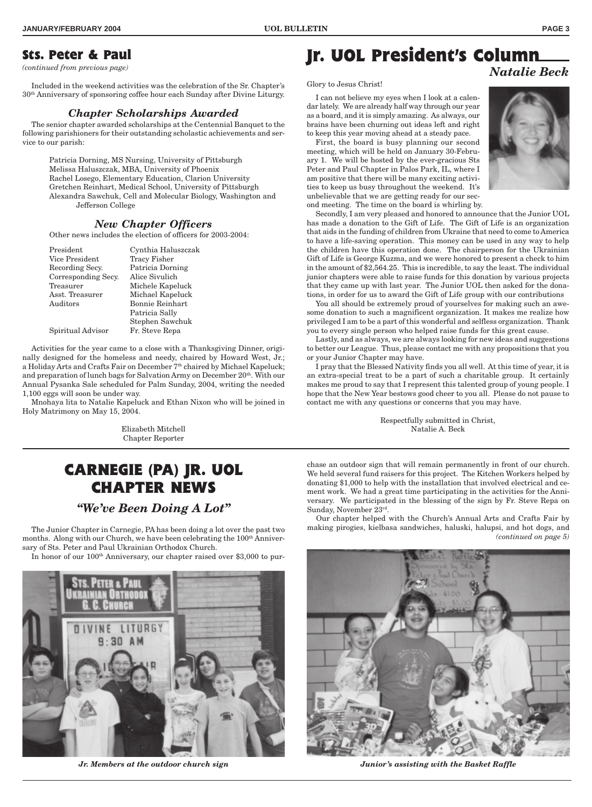### **Sts. Peter & Paul**

*(continued from previous page)*

Included in the weekend activities was the celebration of the Sr. Chapter's 30th Anniversary of sponsoring coffee hour each Sunday after Divine Liturgy.

#### *Chapter Scholarships Awarded*

The senior chapter awarded scholarships at the Centennial Banquet to the following parishioners for their outstanding scholastic achievements and service to our parish:

> Patricia Dorning, MS Nursing, University of Pittsburgh Melissa Haluszczak, MBA, University of Phoenix Rachel Losego, Elementary Education, Clarion University Gretchen Reinhart, Medical School, University of Pittsburgh Alexandra Sawchuk, Cell and Molecular Biology, Washington and Jefferson College

#### *New Chapter Officers*

Other news includes the election of officers for 2003-2004:

President Cynthia Haluszczak Vice President Tracy Fisher Recording Secy. Patricia Dorning Corresponding Secy. Alice Sivulich Treasurer Michele Kapeluck Asst. Treasurer Michael Kapeluck Auditors Bonnie Reinhart Patricia Sally Stephen Sawchuk Spiritual Advisor Fr. Steve Repa

Activities for the year came to a close with a Thanksgiving Dinner, originally designed for the homeless and needy, chaired by Howard West, Jr.; a Holiday Arts and Crafts Fair on December 7<sup>th</sup> chaired by Michael Kapeluck; and preparation of lunch bags for Salvation Army on December 20<sup>th</sup>. With our Annual Pysanka Sale scheduled for Palm Sunday, 2004, writing the needed 1,100 eggs will soon be under way.

Mnohaya lita to Natalie Kapeluck and Ethan Nixon who will be joined in Holy Matrimony on May 15, 2004.

> Elizabeth Mitchell Chapter Reporter

## **CARNEGIE (PA) JR. UOL CHAPTER NEWS**

### *"We've Been Doing A Lot"*

The Junior Chapter in Carnegie, PA has been doing a lot over the past two months. Along with our Church, we have been celebrating the 100<sup>th</sup> Anniversary of Sts. Peter and Paul Ukrainian Orthodox Church.

In honor of our 100th Anniversary, our chapter raised over \$3,000 to pur-



*Jr. Members at the outdoor church sign Junior's assisting with the Basket Raffle*

### **Jr. UOL President's Column** *Natalie Beck*

Glory to Jesus Christ!

I can not believe my eyes when I look at a calendar lately. We are already half way through our year as a board, and it is simply amazing. As always, our brains have been churning out ideas left and right to keep this year moving ahead at a steady pace.

First, the board is busy planning our second meeting, which will be held on January 30-February 1. We will be hosted by the ever-gracious Sts Peter and Paul Chapter in Palos Park, IL, where I am positive that there will be many exciting activities to keep us busy throughout the weekend. It's unbelievable that we are getting ready for our second meeting. The time on the board is whirling by.



Secondly, I am very pleased and honored to announce that the Junior UOL has made a donation to the Gift of Life. The Gift of Life is an organization that aids in the funding of children from Ukraine that need to come to America to have a life-saving operation. This money can be used in any way to help the children have this operation done. The chairperson for the Ukrainian Gift of Life is George Kuzma, and we were honored to present a check to him in the amount of \$2,564.25. This is incredible, to say the least. The individual junior chapters were able to raise funds for this donation by various projects that they came up with last year. The Junior UOL then asked for the donations, in order for us to award the Gift of Life group with our contributions

You all should be extremely proud of yourselves for making such an awesome donation to such a magnificent organization. It makes me realize how privileged I am to be a part of this wonderful and selfless organization. Thank you to every single person who helped raise funds for this great cause.

Lastly, and as always, we are always looking for new ideas and suggestions to better our League. Thus, please contact me with any propositions that you or your Junior Chapter may have.

I pray that the Blessed Nativity finds you all well. At this time of year, it is an extra-special treat to be a part of such a charitable group. It certainly makes me proud to say that I represent this talented group of young people. I hope that the New Year bestows good cheer to you all. Please do not pause to contact me with any questions or concerns that you may have.

> Respectfully submitted in Christ, Natalie A. Beck

chase an outdoor sign that will remain permanently in front of our church. We held several fund raisers for this project. The Kitchen Workers helped by donating \$1,000 to help with the installation that involved electrical and cement work. We had a great time participating in the activities for the Anniversary. We participated in the blessing of the sign by Fr. Steve Repa on Sunday, November 23rd.

Our chapter helped with the Church's Annual Arts and Crafts Fair by making pirogies, kielbasa sandwiches, haluski, halupsi, and hot dogs, and *(continued on page 5)*

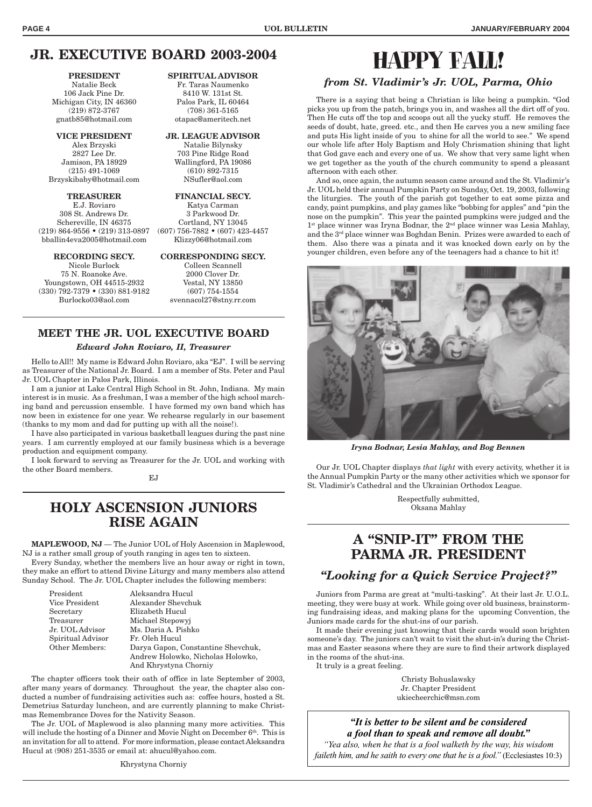afternoon with each other.

### **JR. EXECUTIVE BOARD 2003-2004**

Michigan City, IN 46360 (219) 872-3767 (708) 361-5165 gnatb85@hotmail.com otapac@ameritech.net

(215) 491-1069 (610) 892-7315 Brzyskibaby@hotmail.com NSufler@aol.com

**TREASURER FINANCIAL SECY.** E.J. Roviaro Katya Carman 308 St. Andrews Dr. 3 Parkwood Dr. Schereville, IN 46375 Cortland, NY 13045 (219) 864-9556 • (219) 313-0897 (607) 756-7882 • (607) 423-4457 bballin4eva2005@hotmail.com Klizzy06@hotmail.com

75 N. Roanoke Ave. 2000 Clover Dr. Youngstown, OH 44515-2932 Vestal, NY 13850 (330) 792-7379 • (330) 881-9182 (607) 754-1554 Burlocko03@aol.com svennacol27@stny.rr.com

#### **PRESIDENT SPIRITUAL ADVISOR**

Natalie Beck Fr. Taras Naumenko<br>19 Jack Pine Dr. 8410 W. 131st St. 106 Jack Pine Dr. 8410 W. 131st St.<br>
chigan City, IN 46360 Palos Park, IL 60464

**VICE PRESIDENT JR. LEAGUE ADVISOR** Alex Brzyski Natalie Bilynsky 2827 Lee Dr. 703 Pine Ridge Road<br>Jamison. PA 18929 Wallingford. PA 19086 Wallingford, PA 19086

**RECORDING SECY. CORRESPONDING SECY.** Nicole Burlock Colleen Scannell

## **MEET THE JR. UOL EXECUTIVE BOARD**

#### *Edward John Roviaro, II, Treasurer*

Hello to All!! My name is Edward John Roviaro, aka "EJ". I will be serving as Treasurer of the National Jr. Board. I am a member of Sts. Peter and Paul Jr. UOL Chapter in Palos Park, Illinois.

I am a junior at Lake Central High School in St. John, Indiana. My main interest is in music. As a freshman, I was a member of the high school marching band and percussion ensemble. I have formed my own band which has now been in existence for one year. We rehearse regularly in our basement (thanks to my mom and dad for putting up with all the noise!).

I have also participated in various basketball leagues during the past nine years. I am currently employed at our family business which is a beverage production and equipment company.

I look forward to serving as Treasurer for the Jr. UOL and working with the other Board members.

EJ

### **HOLY ASCENSION JUNIORS RISE AGAIN**

**MAPLEWOOD, NJ** — The Junior UOL of Holy Ascension in Maplewood, NJ is a rather small group of youth ranging in ages ten to sixteen.

Every Sunday, whether the members live an hour away or right in town, they make an effort to attend Divine Liturgy and many members also attend Sunday School. The Jr. UOL Chapter includes the following members:

| President             | Aleksandra Hucul                   |
|-----------------------|------------------------------------|
| Vice President        | Alexander Shevchuk                 |
| Secretary             | Elizabeth Hucul                    |
| Treasurer             | Michael Stepowyj                   |
| Jr. UOL Advisor       | Ms. Daria A. Pishko                |
| Spiritual Advisor     | Fr. Oleh Hucul                     |
| <b>Other Members:</b> | Darya Gapon, Constantine Shevchuk, |
|                       | Andrew Holowko, Nicholas Holowko,  |
|                       | And Khrystyna Chorniy              |

The chapter officers took their oath of office in late September of 2003, after many years of dormancy. Throughout the year, the chapter also conducted a number of fundraising activities such as: coffee hours, hosted a St. Demetrius Saturday luncheon, and are currently planning to make Christmas Remembrance Doves for the Nativity Season.

The Jr. UOL of Maplewood is also planning many more activities. This will include the hosting of a Dinner and Movie Night on December  $6<sup>th</sup>$ . This is an invitation for all to attend. For more information, please contact Aleksandra Hucul at (908) 251-3535 or email at: ahucul@yahoo.com.

#### Khrystyna Chorniy

## HAPPY FALL! *from St. Vladimir's Jr. UOL, Parma, Ohio*

There is a saying that being a Christian is like being a pumpkin. "God picks you up from the patch, brings you in, and washes all the dirt off of you. Then He cuts off the top and scoops out all the yucky stuff. He removes the seeds of doubt, hate, greed. etc., and then He carves you a new smiling face and puts His light inside of you to shine for all the world to see." We spend our whole life after Holy Baptism and Holy Chrismation shining that light that God gave each and every one of us. We show that very same light when we get together as the youth of the church community to spend a pleasant

And so, once again, the autumn season came around and the St. Vladimir's Jr. UOL held their annual Pumpkin Party on Sunday, Oct. 19, 2003, following the liturgies. The youth of the parish got together to eat some pizza and candy, paint pumpkins, and play games like "bobbing for apples" and "pin the nose on the pumpkin". This year the painted pumpkins were judged and the 1<sup>st</sup> place winner was Iryna Bodnar, the 2<sup>nd</sup> place winner was Lesia Mahlay, and the 3rd place winner was Boghdan Benin. Prizes were awarded to each of them. Also there was a pinata and it was knocked down early on by the younger children, even before any of the teenagers had a chance to hit it!



*Iryna Bodnar, Lesia Mahlay, and Bog Bennen*

Our Jr. UOL Chapter displays *that light* with every activity, whether it is the Annual Pumpkin Party or the many other activities which we sponsor for St. Vladimir's Cathedral and the Ukrainian Orthodox League.

> Respectfully submitted, Oksana Mahlay

### **A "SNIP-IT" FROM THE PARMA JR. PRESIDENT**

### *"Looking for a Quick Service Project?"*

Juniors from Parma are great at "multi-tasking". At their last Jr. U.O.L. meeting, they were busy at work. While going over old business, brainstorming fundraising ideas, and making plans for the upcoming Convention, the Juniors made cards for the shut-ins of our parish.

It made their evening just knowing that their cards would soon brighten someone's day. The juniors can't wait to visit the shut-in's during the Christmas and Easter seasons where they are sure to find their artwork displayed in the rooms of the shut-ins.

It truly is a great feeling.

Christy Bohuslawsky Jr. Chapter President ukiecheerchic@msn.com

*"It is better to be silent and be considered a fool than to speak and remove all doubt." "Yea also, when he that is a fool walketh by the way, his wisdom faileth him, and he saith to every one that he is a fool.*" *(Ecclesiastes 10:3)*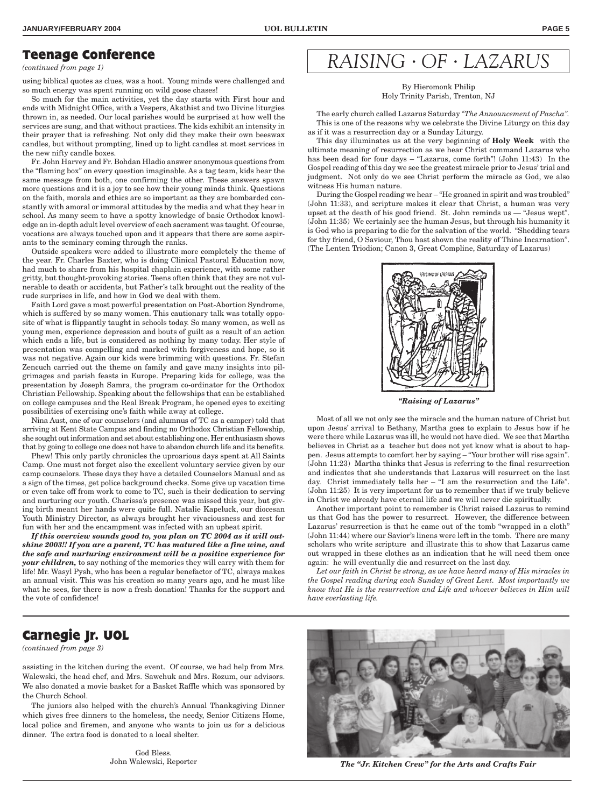#### **Teenage Conference**

*(continued from page 1)*

using biblical quotes as clues, was a hoot. Young minds were challenged and so much energy was spent running on wild goose chases!

So much for the main activities, yet the day starts with First hour and ends with Midnight Office, with a Vespers, Akathist and two Divine liturgies thrown in, as needed. Our local parishes would be surprised at how well the services are sung, and that without practices. The kids exhibit an intensity in their prayer that is refreshing. Not only did they make their own beeswax candles, but without prompting, lined up to light candles at most services in the new nifty candle boxes.

Fr. John Harvey and Fr. Bohdan Hladio answer anonymous questions from the "flaming box" on every question imaginable. As a tag team, kids hear the same message from both, one confirming the other. These answers spawn more questions and it is a joy to see how their young minds think. Questions on the faith, morals and ethics are so important as they are bombarded constantly with amoral or immoral attitudes by the media and what they hear in school. As many seem to have a spotty knowledge of basic Orthodox knowledge an in-depth adult level overview of each sacrament was taught. Of course, vocations are always touched upon and it appears that there are some aspirants to the seminary coming through the ranks.

Outside speakers were added to illustrate more completely the theme of the year. Fr. Charles Baxter, who is doing Clinical Pastoral Education now, had much to share from his hospital chaplain experience, with some rather gritty, but thought-provoking stories. Teens often think that they are not vulnerable to death or accidents, but Father's talk brought out the reality of the rude surprises in life, and how in God we deal with them.

Faith Lord gave a most powerful presentation on Post-Abortion Syndrome, which is suffered by so many women. This cautionary talk was totally opposite of what is flippantly taught in schools today. So many women, as well as young men, experience depression and bouts of guilt as a result of an action which ends a life, but is considered as nothing by many today. Her style of presentation was compelling and marked with forgiveness and hope, so it was not negative. Again our kids were brimming with questions. Fr. Stefan Zencuch carried out the theme on family and gave many insights into pilgrimages and parish feasts in Europe. Preparing kids for college, was the presentation by Joseph Samra, the program co-ordinator for the Orthodox Christian Fellowship. Speaking about the fellowships that can be established on college campuses and the Real Break Program, he opened eyes to exciting possibilities of exercising one's faith while away at college.

Nina Aust, one of our counselors (and alumnus of TC as a camper) told that arriving at Kent State Campus and finding no Orthodox Christian Fellowship, she sought out information and set about establishing one. Her enthusiasm shows that by going to college one does not have to abandon church life and its benefits.

Phew! This only partly chronicles the uproarious days spent at All Saints Camp. One must not forget also the excellent voluntary service given by our camp counselors. These days they have a detailed Counselors Manual and as a sign of the times, get police background checks. Some give up vacation time or even take off from work to come to TC, such is their dedication to serving and nurturing our youth. Charissa's presence was missed this year, but giving birth meant her hands were quite full. Natalie Kapeluck, our diocesan Youth Ministry Director, as always brought her vivaciousness and zest for fun with her and the encampment was infected with an upbeat spirit.

*If this overview sounds good to, you plan on TC 2004 as it will outshine 2003!! If you are a parent, TC has matured like a fine wine, and the safe and nurturing environment will be a positive experience for your children,* to say nothing of the memories they will carry with them for life! Mr. Wasyl Pysh, who has been a regular benefactor of TC, always makes an annual visit. This was his creation so many years ago, and he must like what he sees, for there is now a fresh donation! Thanks for the support and the vote of confidence!

# *RAISING* • *OF* • *LAZARUS*

By Hieromonk Philip Holy Trinity Parish, Trenton, NJ

The early church called Lazarus Saturday *"The Announcement of Pascha".* This is one of the reasons why we celebrate the Divine Liturgy on this day as if it was a resurrection day or a Sunday Liturgy.

This day illuminates us at the very beginning of **Holy Week** with the ultimate meaning of resurrection as we hear Christ command Lazarus who has been dead for four days – "Lazarus, come forth"! (John 11:43) In the Gospel reading of this day we see the greatest miracle prior to Jesus' trial and judgment. Not only do we see Christ perform the miracle as God, we also witness His human nature.

During the Gospel reading we hear – "He groaned in spirit and was troubled" (John 11:33), and scripture makes it clear that Christ, a human was very upset at the death of his good friend. St. John reminds us — "Jesus wept". (John 11:35) We certainly see the human Jesus, but through his humanity it is God who is preparing to die for the salvation of the world. "Shedding tears for thy friend, O Saviour, Thou hast shown the reality of Thine Incarnation". (The Lenten Triodion; Canon 3, Great Compline, Saturday of Lazarus)



*"Raising of Lazarus"*

Most of all we not only see the miracle and the human nature of Christ but upon Jesus' arrival to Bethany, Martha goes to explain to Jesus how if he were there while Lazarus was ill, he would not have died. We see that Martha believes in Christ as a teacher but does not yet know what is about to happen. Jesus attempts to comfort her by saying – "Your brother will rise again". (John 11:23) Martha thinks that Jesus is referring to the final resurrection and indicates that she understands that Lazarus will resurrect on the last day. Christ immediately tells her – "I am the resurrection and the Life". (John 11:25) It is very important for us to remember that if we truly believe in Christ we already have eternal life and we will never die spiritually.

Another important point to remember is Christ raised Lazarus to remind us that God has the power to resurrect. However, the difference between Lazarus' resurrection is that he came out of the tomb "wrapped in a cloth" (John 11:44) where our Savior's linens were left in the tomb. There are many scholars who write scripture and illustrate this to show that Lazarus came out wrapped in these clothes as an indication that he will need them once again: he will eventually die and resurrect on the last day.

*Let our faith in Christ be strong, as we have heard many of His miracles in the Gospel reading during each Sunday of Great Lent. Most importantly we know that He is the resurrection and Life and whoever believes in Him will have everlasting life.*

### **Carnegie Jr. UOL**

*(continued from page 3)*

assisting in the kitchen during the event. Of course, we had help from Mrs. Walewski, the head chef, and Mrs. Sawchuk and Mrs. Rozum, our advisors. We also donated a movie basket for a Basket Raffle which was sponsored by the Church School.

The juniors also helped with the church's Annual Thanksgiving Dinner which gives free dinners to the homeless, the needy, Senior Citizens Home, local police and firemen, and anyone who wants to join us for a delicious dinner. The extra food is donated to a local shelter.

> God Bless. John Walewski, Reporter



*The "Jr. Kitchen Crew" for the Arts and Crafts Fair*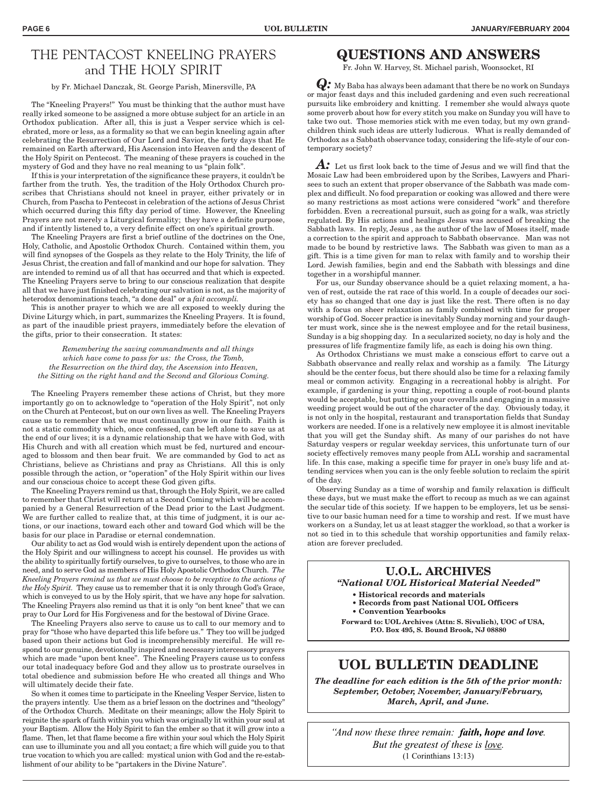### THE PENTACOST KNEELING PRAYERS and THE HOLY SPIRIT

#### by Fr. Michael Danczak, St. George Parish, Minersville, PA

The "Kneeling Prayers!" You must be thinking that the author must have really irked someone to be assigned a more obtuse subject for an article in an Orthodox publication. After all, this is just a Vesper service which is celebrated, more or less, as a formality so that we can begin kneeling again after celebrating the Resurrection of Our Lord and Savior, the forty days that He remained on Earth afterward, His Ascension into Heaven and the descent of the Holy Spirit on Pentecost. The meaning of these prayers is couched in the mystery of God and they have no real meaning to us "plain folk".

If this is your interpretation of the significance these prayers, it couldn't be farther from the truth. Yes, the tradition of the Holy Orthodox Church proscribes that Christians should not kneel in prayer, either privately or in Church, from Pascha to Pentecost in celebration of the actions of Jesus Christ which occurred during this fifty day period of time. However, the Kneeling Prayers are not merely a Liturgical formality; they have a definite purpose, and if intently listened to, a very definite effect on one's spiritual growth.

The Kneeling Prayers are first a brief outline of the doctrines on the One, Holy, Catholic, and Apostolic Orthodox Church. Contained within them, you will find synopses of the Gospels as they relate to the Holy Trinity, the life of Jesus Christ, the creation and fall of mankind and our hope for salvation. They are intended to remind us of all that has occurred and that which is expected. The Kneeling Prayers serve to bring to our conscious realization that despite all that we have just finished celebrating our salvation is not, as the majority of heterodox denominations teach, "a done deal" or a *fait accompli.*

This is another prayer to which we are all exposed to weekly during the Divine Liturgy which, in part, summarizes the Kneeling Prayers. It is found, as part of the inaudible priest prayers, immediately before the elevation of the gifts, prior to their consecration. It states:

*Remembering the saving commandments and all things which have come to pass for us: the Cross, the Tomb, the Resurrection on the third day, the Ascension into Heaven, the Sitting on the right hand and the Second and Glorious Coming.*

The Kneeling Prayers remember these actions of Christ, but they more importantly go on to acknowledge to "operation of the Holy Spirit", not only on the Church at Pentecost, but on our own lives as well. The Kneeling Prayers cause us to remember that we must continually grow in our faith. Faith is not a static commodity which, once confessed, can be left alone to save us at the end of our lives; it is a dynamic relationship that we have with God, with His Church and with all creation which must be fed, nurtured and encouraged to blossom and then bear fruit. We are commanded by God to act as Christians, believe as Christians and pray as Christians. All this is only possible through the action, or "operation" of the Holy Spirit within our lives and our conscious choice to accept these God given gifts.

The Kneeling Prayers remind us that, through the Holy Spirit, we are called to remember that Christ will return at a Second Coming which will be accompanied by a General Resurrection of the Dead prior to the Last Judgment. We are further called to realize that, at this time of judgment, it is our actions, or our inactions, toward each other and toward God which will be the basis for our place in Paradise or eternal condemnation.

Our ability to act as God would wish is entirely dependent upon the actions of the Holy Spirit and our willingness to accept his counsel. He provides us with the ability to spiritually fortify ourselves, to give to ourselves, to those who are in need, and to serve God as members of His Holy Apostolic Orthodox Church. *The Kneeling Prayers remind us that we must choose to be receptive to the actions of the Holy Spirit.* They cause us to remember that it is only through God's Grace, which is conveyed to us by the Holy spirit, that we have any hope for salvation. The Kneeling Prayers also remind us that it is only "on bent knee" that we can pray to Our Lord for His Forgiveness and for the bestowal of Divine Grace.

The Kneeling Prayers also serve to cause us to call to our memory and to pray for "those who have departed this life before us." They too will be judged based upon their actions but God is incomprehensibly merciful. He will respond to our genuine, devotionally inspired and necessary intercessory prayers which are made "upon bent knee". The Kneeling Prayers cause us to confess our total inadequacy before God and they allow us to prostrate ourselves in total obedience and submission before He who created all things and Who will ultimately decide their fate.

So when it comes time to participate in the Kneeling Vesper Service, listen to the prayers intently. Use them as a brief lesson on the doctrines and "theology" of the Orthodox Church. Meditate on their meanings; allow the Holy Spirit to reignite the spark of faith within you which was originally lit within your soul at your Baptism. Allow the Holy Spirit to fan the ember so that it will grow into a flame. Then, let that flame become a fire within your soul which the Holy Spirit can use to illuminate you and all you contact; a fire which will guide you to that true vocation to which you are called: mystical union with God and the re-establishment of our ability to be "partakers in the Divine Nature".

### **QUESTIONS AND ANSWERS**

Fr. John W. Harvey, St. Michael parish, Woonsocket, RI

*Q:* My Baba has always been adamant that there be no work on Sundays or major feast days and this included gardening and even such recreational pursuits like embroidery and knitting. I remember she would always quote some proverb about how for every stitch you make on Sunday you will have to take two out. Those memories stick with me even today, but my own grandchildren think such ideas are utterly ludicrous. What is really demanded of Orthodox as a Sabbath observance today, considering the life-style of our contemporary society?

*A:*Let us first look back to the time of Jesus and we will find that the Mosaic Law had been embroidered upon by the Scribes, Lawyers and Pharisees to such an extent that proper observance of the Sabbath was made complex and difficult. No food preparation or cooking was allowed and there were so many restrictions as most actions were considered "work" and therefore forbidden. Even a recreational pursuit, such as going for a walk, was strictly regulated. By His actions and healings Jesus was accused of breaking the Sabbath laws. In reply, Jesus , as the author of the law of Moses itself, made a correction to the spirit and approach to Sabbath observance. Man was not made to be bound by restrictive laws. The Sabbath was given to man as a gift. This is a time given for man to relax with family and to worship their Lord. Jewish families, begin and end the Sabbath with blessings and dine together in a worshipful manner.

For us, our Sunday observance should be a quiet relaxing moment, a haven of rest, outside the rat race of this world. In a couple of decades our society has so changed that one day is just like the rest. There often is no day with a focus on sheer relaxation as family combined with time for proper worship of God. Soccer practice is inevitably Sunday morning and your daughter must work, since she is the newest employee and for the retail business, Sunday is a big shopping day. In a secularized society, no day is holy and the pressures of life fragmentize family life, as each is doing his own thing.

As Orthodox Christians we must make a conscious effort to carve out a Sabbath observance and really relax and worship as a family. The Liturgy should be the center focus, but there should also be time for a relaxing family meal or common activity. Engaging in a recreational hobby is alright. For example, if gardening is your thing, repotting a couple of root-bound plants would be acceptable, but putting on your coveralls and engaging in a massive weeding project would be out of the character of the day. Obviously today, it is not only in the hospital, restaurant and transportation fields that Sunday workers are needed. If one is a relatively new employee it is almost inevitable that you will get the Sunday shift. As many of our parishes do not have Saturday vespers or regular weekday services, this unfortunate turn of our society effectively removes many people from ALL worship and sacramental life. In this case, making a specific time for prayer in one's busy life and attending services when you can is the only feeble solution to reclaim the spirit of the day.

Observing Sunday as a time of worship and family relaxation is difficult these days, but we must make the effort to recoup as much as we can against the secular tide of this society. If we happen to be employers, let us be sensitive to our basic human need for a time to worship and rest. If we must have workers on a Sunday, let us at least stagger the workload, so that a worker is not so tied in to this schedule that worship opportunities and family relaxation are forever precluded.

#### **U.O.L. ARCHIVES** *"National UOL Historical Material Needed"* **• Historical records and materials**

- **Records from past National UOL Officers**
- **Convention Yearbooks**

**Forward to: UOL Archives (Attn: S. Sivulich), UOC of USA, P.O. Box 495, S. Bound Brook, NJ 08880**

### **UOL BULLETIN DEADLINE**

*The deadline for each edition is the 5th of the prior month: September, October, November, January/February, March, April, and June.*

*"And now these three remain: faith, hope and love. But the greatest of these is love.* (1 Corinthians 13:13)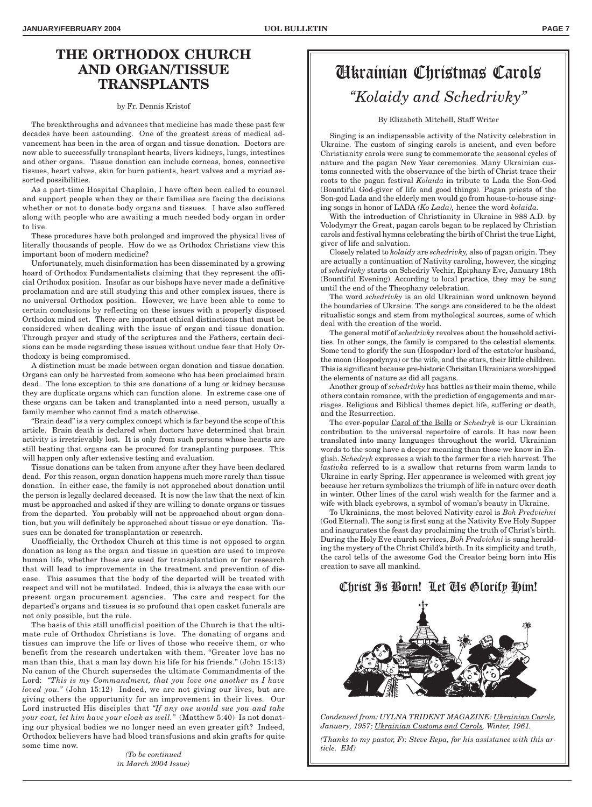### **THE ORTHODOX CHURCH AND ORGAN/TISSUE TRANSPLANTS**

#### by Fr. Dennis Kristof

The breakthroughs and advances that medicine has made these past few decades have been astounding. One of the greatest areas of medical advancement has been in the area of organ and tissue donation. Doctors are now able to successfully transplant hearts, livers kidneys, lungs, intestines and other organs. Tissue donation can include corneas, bones, connective tissues, heart valves, skin for burn patients, heart valves and a myriad assorted possibilities.

As a part-time Hospital Chaplain, I have often been called to counsel and support people when they or their families are facing the decisions whether or not to donate body organs and tissues. I have also suffered along with people who are awaiting a much needed body organ in order to live.

These procedures have both prolonged and improved the physical lives of literally thousands of people. How do we as Orthodox Christians view this important boon of modern medicine?

Unfortunately, much disinformation has been disseminated by a growing hoard of Orthodox Fundamentalists claiming that they represent the official Orthodox position. Insofar as our bishops have never made a definitive proclamation and are still studying this and other complex issues, there is no universal Orthodox position. However, we have been able to come to certain conclusions by reflecting on these issues with a properly disposed Orthodox mind set. There are important ethical distinctions that must be considered when dealing with the issue of organ and tissue donation. Through prayer and study of the scriptures and the Fathers, certain decisions can be made regarding these issues without undue fear that Holy Orthodoxy is being compromised.

A distinction must be made between organ donation and tissue donation. Organs can only be harvested from someone who has been proclaimed brain dead. The lone exception to this are donations of a lung or kidney because they are duplicate organs which can function alone. In extreme case one of these organs can be taken and transplanted into a need person, usually a family member who cannot find a match otherwise.

"Brain dead" is a very complex concept which is far beyond the scope of this article. Brain death is declared when doctors have determined that brain activity is irretrievably lost. It is only from such persons whose hearts are still beating that organs can be procured for transplanting purposes. This will happen only after extensive testing and evaluation.

Tissue donations can be taken from anyone after they have been declared dead. For this reason, organ donation happens much more rarely than tissue donation. In either case, the family is not approached about donation until the person is legally declared deceased. It is now the law that the next of kin must be approached and asked if they are willing to donate organs or tissues from the departed. You probably will not be approached about organ donation, but you will definitely be approached about tissue or eye donation. Tissues can be donated for transplantation or research.

Unofficially, the Orthodox Church at this time is not opposed to organ donation as long as the organ and tissue in question are used to improve human life, whether these are used for transplantation or for research that will lead to improvements in the treatment and prevention of disease. This assumes that the body of the departed will be treated with respect and will not be mutilated. Indeed, this is always the case with our present organ procurement agencies. The care and respect for the departed's organs and tissues is so profound that open casket funerals are not only possible, but the rule.

The basis of this still unofficial position of the Church is that the ultimate rule of Orthodox Christians is love. The donating of organs and tissues can improve the life or lives of those who receive them, or who benefit from the research undertaken with them. "Greater love has no man than this, that a man lay down his life for his friends." (John 15:13) No canon of the Church supersedes the ultimate Commandments of the Lord: *"This is my Commandment, that you love one another as I have loved you."* (John 15:12) Indeed, we are not giving our lives, but are giving others the opportunity for an improvement in their lives. Our Lord instructed His disciples that *"If any one would sue you and take your coat, let him have your cloak as well."* (Matthew 5:40) Is not donating our physical bodies we no longer need an even greater gift? Indeed, Orthodox believers have had blood transfusions and skin grafts for quite some time now.

> *(To be continued in March 2004 Issue)*

## Ukrainian Christmas Carols *"Kolaidy and Schedrivky"*

#### By Elizabeth Mitchell, Staff Writer

Singing is an indispensable activity of the Nativity celebration in Ukraine. The custom of singing carols is ancient, and even before Christianity carols were sung to commemorate the seasonal cycles of nature and the pagan New Year ceremonies. Many Ukrainian customs connected with the observance of the birth of Christ trace their roots to the pagan festival *Kolaida* in tribute to Lada the Son-God (Bountiful God-giver of life and good things). Pagan priests of the Son-god Lada and the elderly men would go from house-to-house singing songs in honor of LADA *(Ko Lada),* hence the word *kolaida.*

With the introduction of Christianity in Ukraine in 988 A.D. by Volodymyr the Great, pagan carols began to be replaced by Christian carols and festival hymns celebrating the birth of Christ the true Light, giver of life and salvation.

Closely related to *kolaidy* are *schedrivky,* also of pagan origin. They are actually a continuation of Nativity caroling, however, the singing of *schedrivky* starts on Schedriy Vechir, Epiphany Eve, January 18th (Bountiful Evening). According to local practice, they may be sung until the end of the Theophany celebration.

The word *schedrivky* is an old Ukrainian word unknown beyond the boundaries of Ukraine. The songs are considered to be the oldest ritualistic songs and stem from mythological sources, some of which deal with the creation of the world.

The general motif of *schedrivky* revolves about the household activities. In other songs, the family is compared to the celestial elements. Some tend to glorify the sun (Hospodar) lord of the estate/or husband, the moon (Hospodynya) or the wife, and the stars, their little children. This is significant because pre-historic Chrisitan Ukrainians worshipped the elements of nature as did all pagans.

Another group of *schedrivky* has battles as their main theme, while others contain romance, with the prediction of engagements and marriages. Religious and Biblical themes depict life, suffering or death, and the Resurrection.

The ever-popular Carol of the Bells or *Schedryk* is our Ukrainian contribution to the universal repertoire of carols. It has now been translated into many languages throughout the world. Ukrainian words to the song have a deeper meaning than those we know in English. *Schedryk* expresses a wish to the farmer for a rich harvest. The *lastivka* referred to is a swallow that returns from warm lands to Ukraine in early Spring. Her appearance is welcomed with great joy because her return symbolizes the triumph of life in nature over death in winter. Other lines of the carol wish wealth for the farmer and a wife with black eyebrows, a symbol of woman's beauty in Ukraine.

To Ukrainians, the most beloved Nativity carol is *Boh Predvichni* (God Eternal). The song is first sung at the Nativity Eve Holy Supper and inaugurates the feast day proclaiming the truth of Christ's birth. During the Holy Eve church services, *Boh Predvichni* is sung heralding the mystery of the Christ Child's birth. In its simplicity and truth, the carol tells of the awesome God the Creator being born into His creation to save all mankind.

### Christ Is Born! Let Us Glorify Him!



*Condensed from: UYLNA TRIDENT MAGAZINE: Ukrainian Carols, January, 1957; Ukrainian Customs and Carols, Winter, 1961.*

*(Thanks to my pastor, Fr. Steve Repa, for his assistance with this article. EM)*